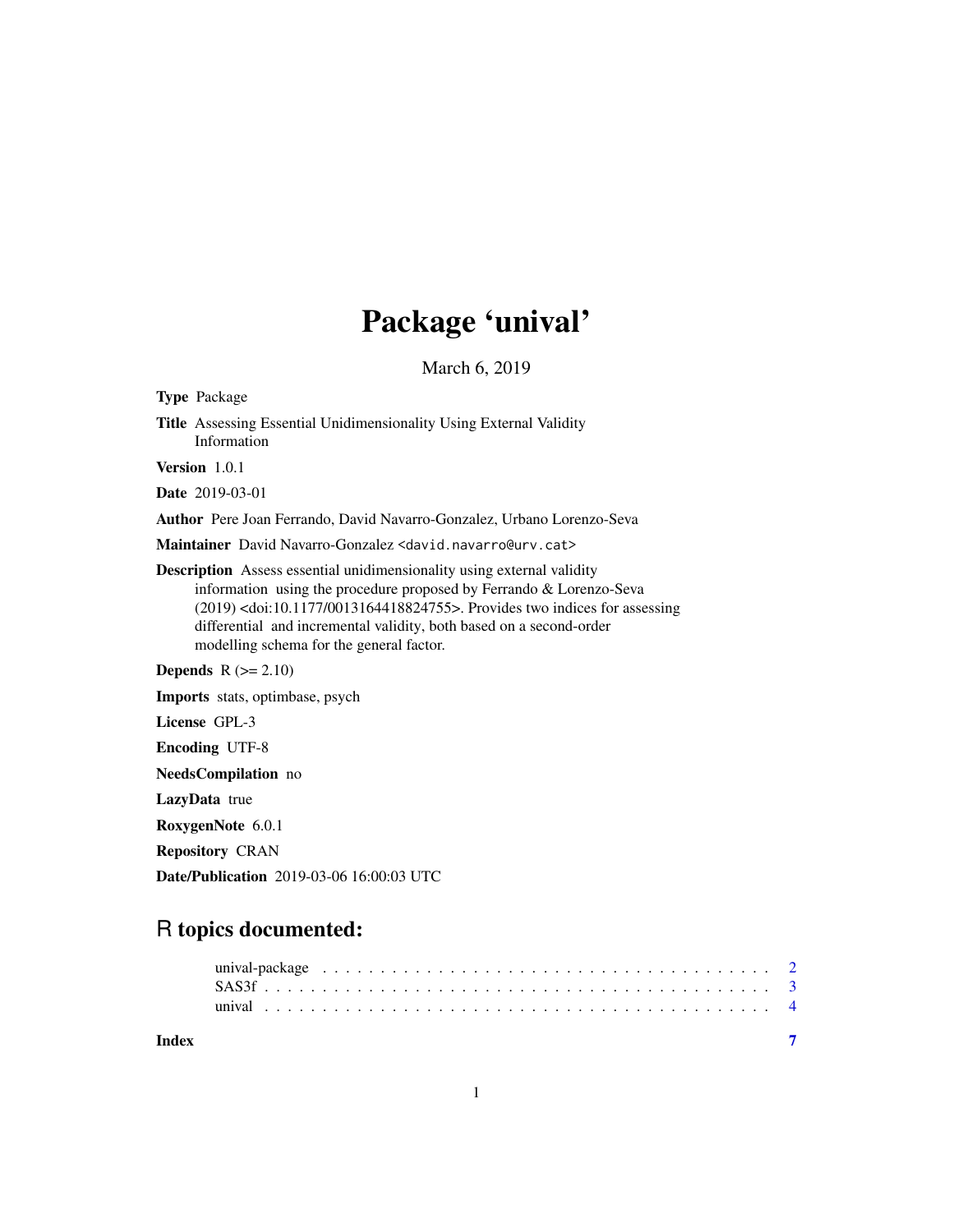# Package 'unival'

March 6, 2019

<span id="page-0-0"></span>

| <b>Type Package</b>                                                                                                                                                                                                                                                                                                                                                     |  |
|-------------------------------------------------------------------------------------------------------------------------------------------------------------------------------------------------------------------------------------------------------------------------------------------------------------------------------------------------------------------------|--|
| <b>Title</b> Assessing Essential Unidimensionality Using External Validity<br>Information                                                                                                                                                                                                                                                                               |  |
| Version 1.0.1                                                                                                                                                                                                                                                                                                                                                           |  |
| <b>Date</b> 2019-03-01                                                                                                                                                                                                                                                                                                                                                  |  |
| <b>Author</b> Pere Joan Ferrando, David Navarro-Gonzalez, Urbano Lorenzo-Seva                                                                                                                                                                                                                                                                                           |  |
| Maintainer David Navarro-Gonzalez <david.navarro@urv.cat></david.navarro@urv.cat>                                                                                                                                                                                                                                                                                       |  |
| <b>Description</b> Assess essential unidimensionality using external validity<br>information using the procedure proposed by Ferrando & Lorenzo-Seva<br>(2019) <doi:10.1177 0013164418824755="">. Provides two indices for assessing<br/>differential and incremental validity, both based on a second-order<br/>modelling schema for the general factor.</doi:10.1177> |  |
| <b>Depends</b> $R (= 2.10)$                                                                                                                                                                                                                                                                                                                                             |  |
| Imports stats, optimbase, psych                                                                                                                                                                                                                                                                                                                                         |  |
| License GPL-3                                                                                                                                                                                                                                                                                                                                                           |  |
| <b>Encoding UTF-8</b>                                                                                                                                                                                                                                                                                                                                                   |  |
| <b>NeedsCompilation</b> no                                                                                                                                                                                                                                                                                                                                              |  |
| LazyData true                                                                                                                                                                                                                                                                                                                                                           |  |
| RoxygenNote 6.0.1                                                                                                                                                                                                                                                                                                                                                       |  |
| <b>Repository CRAN</b>                                                                                                                                                                                                                                                                                                                                                  |  |

Date/Publication 2019-03-06 16:00:03 UTC

# R topics documented:

**Index** [7](#page-6-0)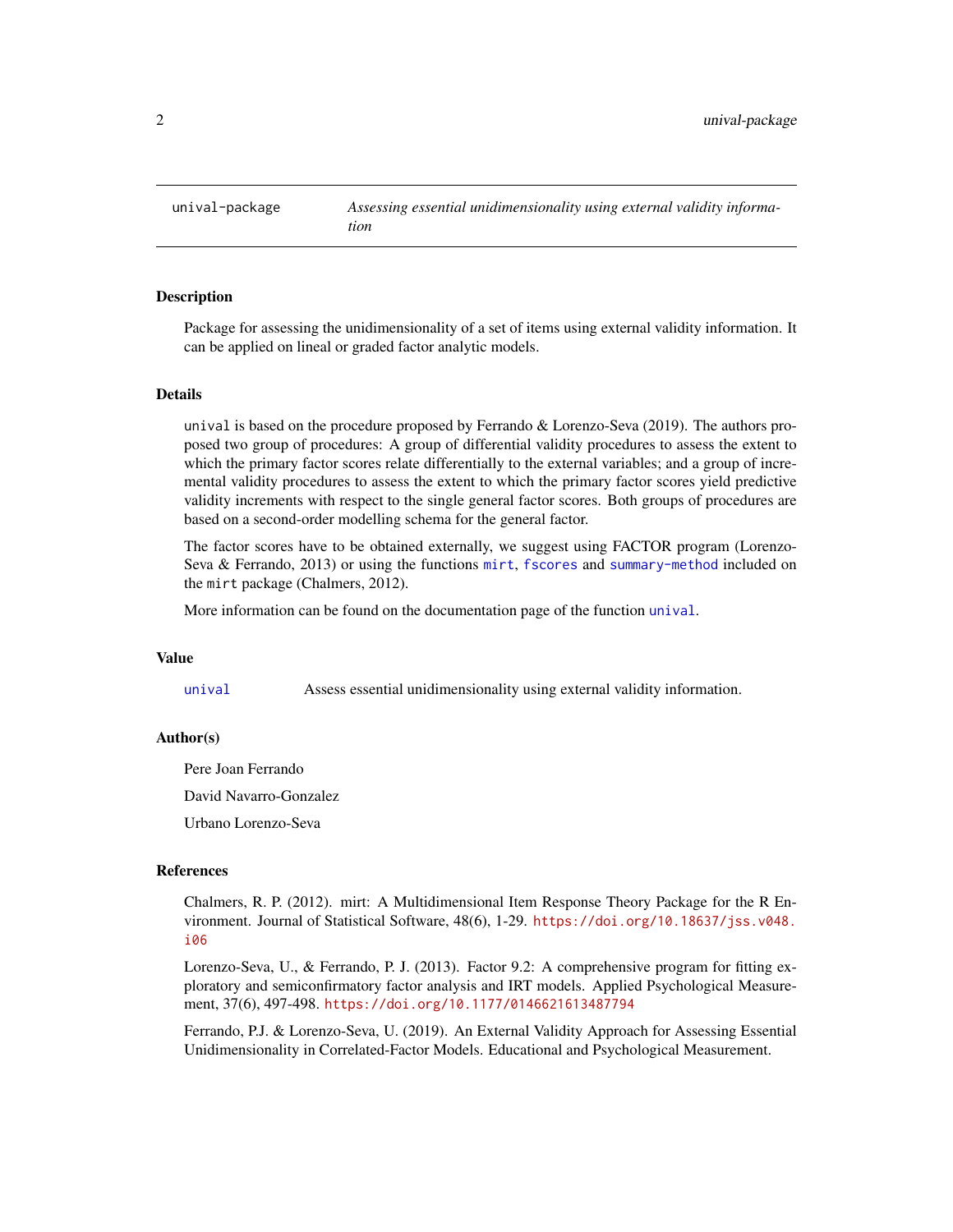<span id="page-1-0"></span>unival-package *Assessing essential unidimensionality using external validity information*

## Description

Package for assessing the unidimensionality of a set of items using external validity information. It can be applied on lineal or graded factor analytic models.

# Details

unival is based on the procedure proposed by Ferrando  $&$  Lorenzo-Seva (2019). The authors proposed two group of procedures: A group of differential validity procedures to assess the extent to which the primary factor scores relate differentially to the external variables; and a group of incremental validity procedures to assess the extent to which the primary factor scores yield predictive validity increments with respect to the single general factor scores. Both groups of procedures are based on a second-order modelling schema for the general factor.

The factor scores have to be obtained externally, we suggest using FACTOR program (Lorenzo-Seva & Ferrando, 2013) or using the functions [mirt](#page-0-0), [fscores](#page-0-0) and [summary-method](#page-0-0) included on the mirt package (Chalmers, 2012).

More information can be found on the documentation page of the function [unival](#page-3-1).

# Value

[unival](#page-3-1) Assess essential unidimensionality using external validity information.

### Author(s)

Pere Joan Ferrando

David Navarro-Gonzalez

Urbano Lorenzo-Seva

# References

Chalmers, R. P. (2012). mirt: A Multidimensional Item Response Theory Package for the R Environment. Journal of Statistical Software, 48(6), 1-29. [https://doi.org/10.18637/jss.v048.](https://doi.org/10.18637/jss.v048.i06) [i06](https://doi.org/10.18637/jss.v048.i06)

Lorenzo-Seva, U., & Ferrando, P. J. (2013). Factor 9.2: A comprehensive program for fitting exploratory and semiconfirmatory factor analysis and IRT models. Applied Psychological Measurement, 37(6), 497-498. <https://doi.org/10.1177/0146621613487794>

Ferrando, P.J. & Lorenzo-Seva, U. (2019). An External Validity Approach for Assessing Essential Unidimensionality in Correlated-Factor Models. Educational and Psychological Measurement.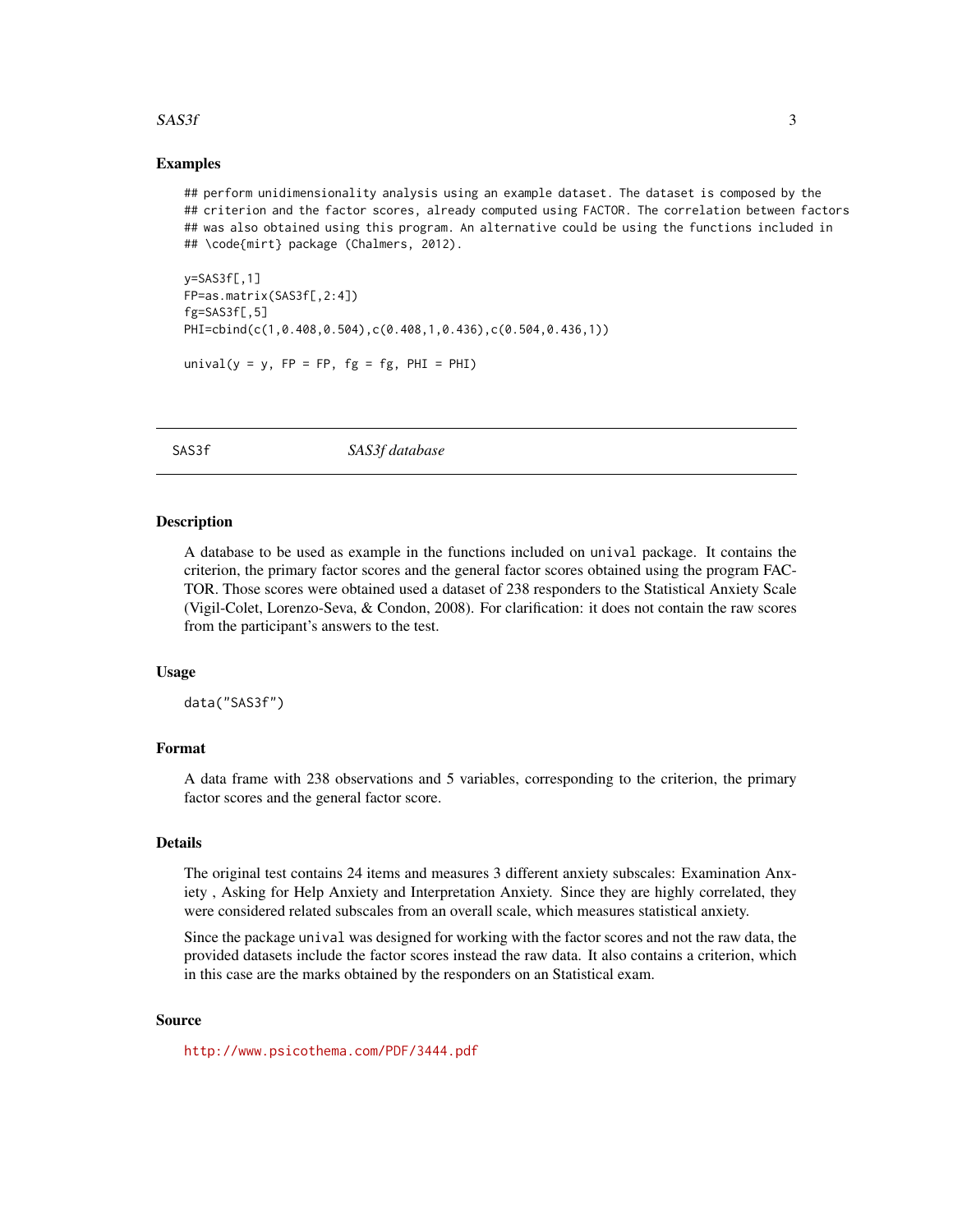# <span id="page-2-0"></span> $SAS3f$  3

# Examples

## perform unidimensionality analysis using an example dataset. The dataset is composed by the ## criterion and the factor scores, already computed using FACTOR. The correlation between factors ## was also obtained using this program. An alternative could be using the functions included in ## \code{mirt} package (Chalmers, 2012).

```
v =SAS3f[,1]
FP=as.matrix(SAS3f[,2:4])
fg=SAS3f[,5]
PHI=cbind(c(1,0.408,0.504),c(0.408,1,0.436),c(0.504,0.436,1))
```
unival( $y = y$ ,  $FP = FP$ ,  $fg = fg$ ,  $PHI = PHI$ )

SAS3f *SAS3f database*

#### Description

A database to be used as example in the functions included on unival package. It contains the criterion, the primary factor scores and the general factor scores obtained using the program FAC-TOR. Those scores were obtained used a dataset of 238 responders to the Statistical Anxiety Scale (Vigil-Colet, Lorenzo-Seva, & Condon, 2008). For clarification: it does not contain the raw scores from the participant's answers to the test.

#### Usage

data("SAS3f")

# Format

A data frame with 238 observations and 5 variables, corresponding to the criterion, the primary factor scores and the general factor score.

# Details

The original test contains 24 items and measures 3 different anxiety subscales: Examination Anxiety , Asking for Help Anxiety and Interpretation Anxiety. Since they are highly correlated, they were considered related subscales from an overall scale, which measures statistical anxiety.

Since the package unival was designed for working with the factor scores and not the raw data, the provided datasets include the factor scores instead the raw data. It also contains a criterion, which in this case are the marks obtained by the responders on an Statistical exam.

#### Source

<http://www.psicothema.com/PDF/3444.pdf>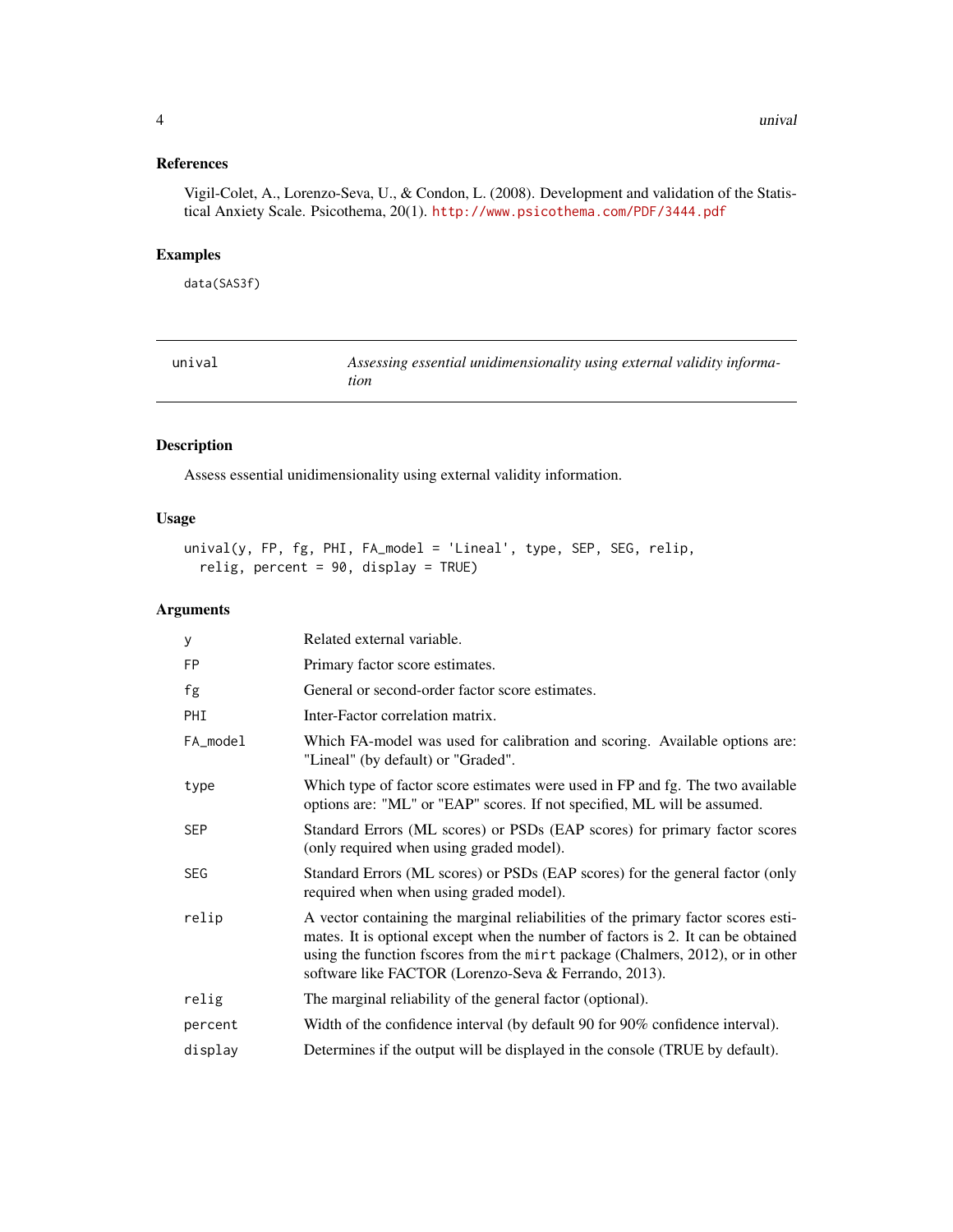# <span id="page-3-0"></span>References

Vigil-Colet, A., Lorenzo-Seva, U., & Condon, L. (2008). Development and validation of the Statistical Anxiety Scale. Psicothema, 20(1). <http://www.psicothema.com/PDF/3444.pdf>

# Examples

data(SAS3f)

<span id="page-3-1"></span>

| unival | Assessing essential unidimensionality using external validity informa- |
|--------|------------------------------------------------------------------------|
|        | tion                                                                   |

# Description

Assess essential unidimensionality using external validity information.

# Usage

unival(y, FP, fg, PHI, FA\_model = 'Lineal', type, SEP, SEG, relip, relig, percent = 90, display = TRUE)

# Arguments

| У          | Related external variable.                                                                                                                                                                                                                                                                                       |
|------------|------------------------------------------------------------------------------------------------------------------------------------------------------------------------------------------------------------------------------------------------------------------------------------------------------------------|
| <b>FP</b>  | Primary factor score estimates.                                                                                                                                                                                                                                                                                  |
| fg         | General or second-order factor score estimates.                                                                                                                                                                                                                                                                  |
| PHI        | Inter-Factor correlation matrix.                                                                                                                                                                                                                                                                                 |
| FA_model   | Which FA-model was used for calibration and scoring. Available options are:<br>"Lineal" (by default) or "Graded".                                                                                                                                                                                                |
| type       | Which type of factor score estimates were used in FP and fg. The two available<br>options are: "ML" or "EAP" scores. If not specified, ML will be assumed.                                                                                                                                                       |
| <b>SEP</b> | Standard Errors (ML scores) or PSDs (EAP scores) for primary factor scores<br>(only required when using graded model).                                                                                                                                                                                           |
| <b>SEG</b> | Standard Errors (ML scores) or PSDs (EAP scores) for the general factor (only<br>required when when using graded model).                                                                                                                                                                                         |
| relip      | A vector containing the marginal reliabilities of the primary factor scores esti-<br>mates. It is optional except when the number of factors is 2. It can be obtained<br>using the function fscores from the mirt package (Chalmers, 2012), or in other<br>software like FACTOR (Lorenzo-Seva & Ferrando, 2013). |
| relig      | The marginal reliability of the general factor (optional).                                                                                                                                                                                                                                                       |
| percent    | Width of the confidence interval (by default 90 for 90% confidence interval).                                                                                                                                                                                                                                    |
| display    | Determines if the output will be displayed in the console (TRUE by default).                                                                                                                                                                                                                                     |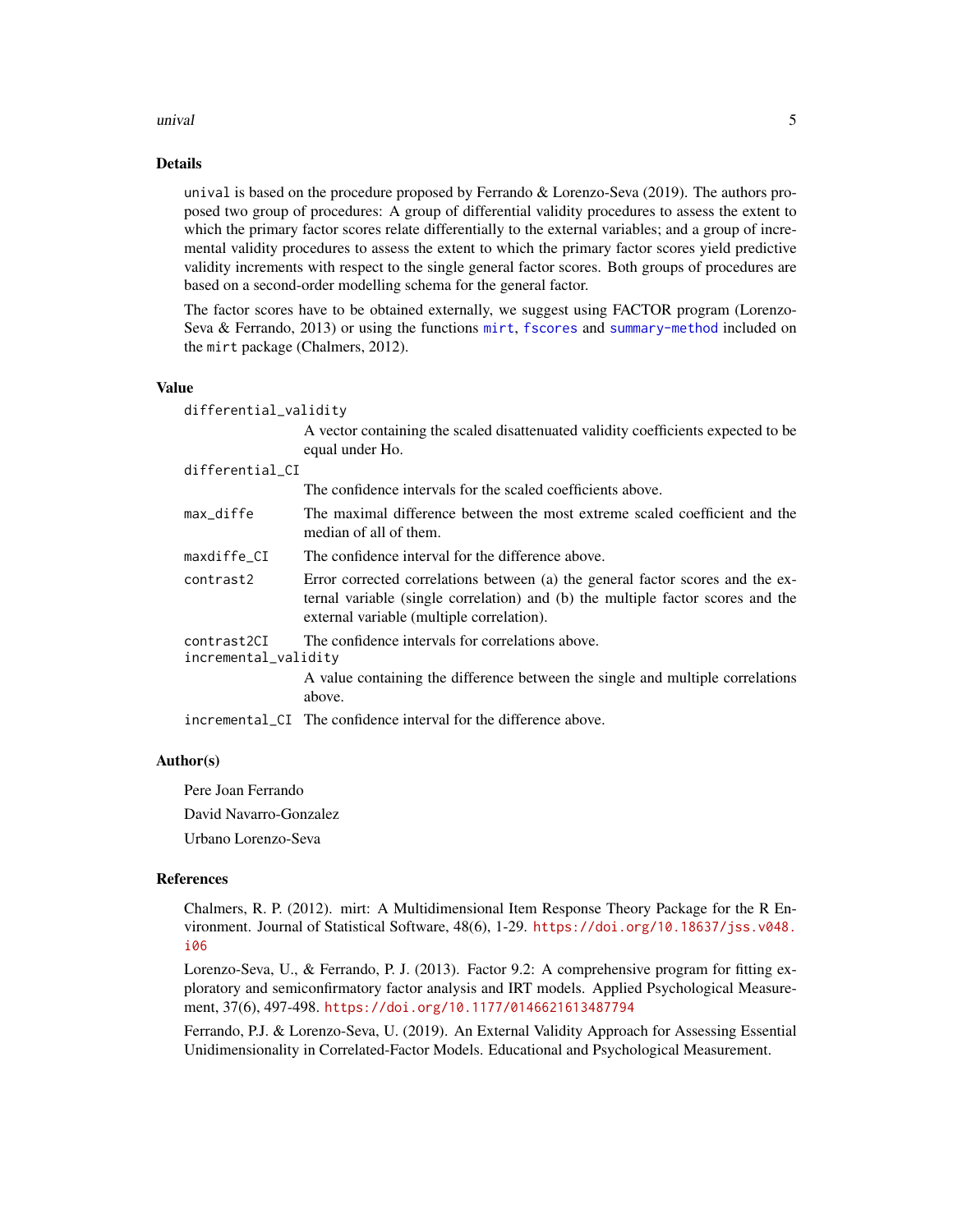#### <span id="page-4-0"></span>unival 5

#### Details

unival is based on the procedure proposed by Ferrando & Lorenzo-Seva (2019). The authors proposed two group of procedures: A group of differential validity procedures to assess the extent to which the primary factor scores relate differentially to the external variables; and a group of incremental validity procedures to assess the extent to which the primary factor scores yield predictive validity increments with respect to the single general factor scores. Both groups of procedures are based on a second-order modelling schema for the general factor.

The factor scores have to be obtained externally, we suggest using FACTOR program (Lorenzo-Seva & Ferrando, 2013) or using the functions [mirt](#page-0-0), [fscores](#page-0-0) and [summary-method](#page-0-0) included on the mirt package (Chalmers, 2012).

#### Value

differential\_validity

A vector containing the scaled disattenuated validity coefficients expected to be equal under Ho.

#### differential CI

|                                     | The confidence intervals for the scaled coefficients above.                                                                                                                                                    |
|-------------------------------------|----------------------------------------------------------------------------------------------------------------------------------------------------------------------------------------------------------------|
| max_diffe                           | The maximal difference between the most extreme scaled coefficient and the<br>median of all of them.                                                                                                           |
| maxdiffe_CI                         | The confidence interval for the difference above.                                                                                                                                                              |
| contrast2                           | Error corrected correlations between (a) the general factor scores and the ex-<br>ternal variable (single correlation) and (b) the multiple factor scores and the<br>external variable (multiple correlation). |
| contrast2CI<br>incremental_validity | The confidence intervals for correlations above.<br>A value containing the difference between the single and multiple correlations<br>above.                                                                   |
|                                     |                                                                                                                                                                                                                |

incremental\_CI The confidence interval for the difference above.

#### Author(s)

Pere Joan Ferrando

David Navarro-Gonzalez

Urbano Lorenzo-Seva

# References

Chalmers, R. P. (2012). mirt: A Multidimensional Item Response Theory Package for the R Environment. Journal of Statistical Software, 48(6), 1-29. [https://doi.org/10.18637/jss.v048.](https://doi.org/10.18637/jss.v048.i06) [i06](https://doi.org/10.18637/jss.v048.i06)

Lorenzo-Seva, U., & Ferrando, P. J. (2013). Factor 9.2: A comprehensive program for fitting exploratory and semiconfirmatory factor analysis and IRT models. Applied Psychological Measurement, 37(6), 497-498. <https://doi.org/10.1177/0146621613487794>

Ferrando, P.J. & Lorenzo-Seva, U. (2019). An External Validity Approach for Assessing Essential Unidimensionality in Correlated-Factor Models. Educational and Psychological Measurement.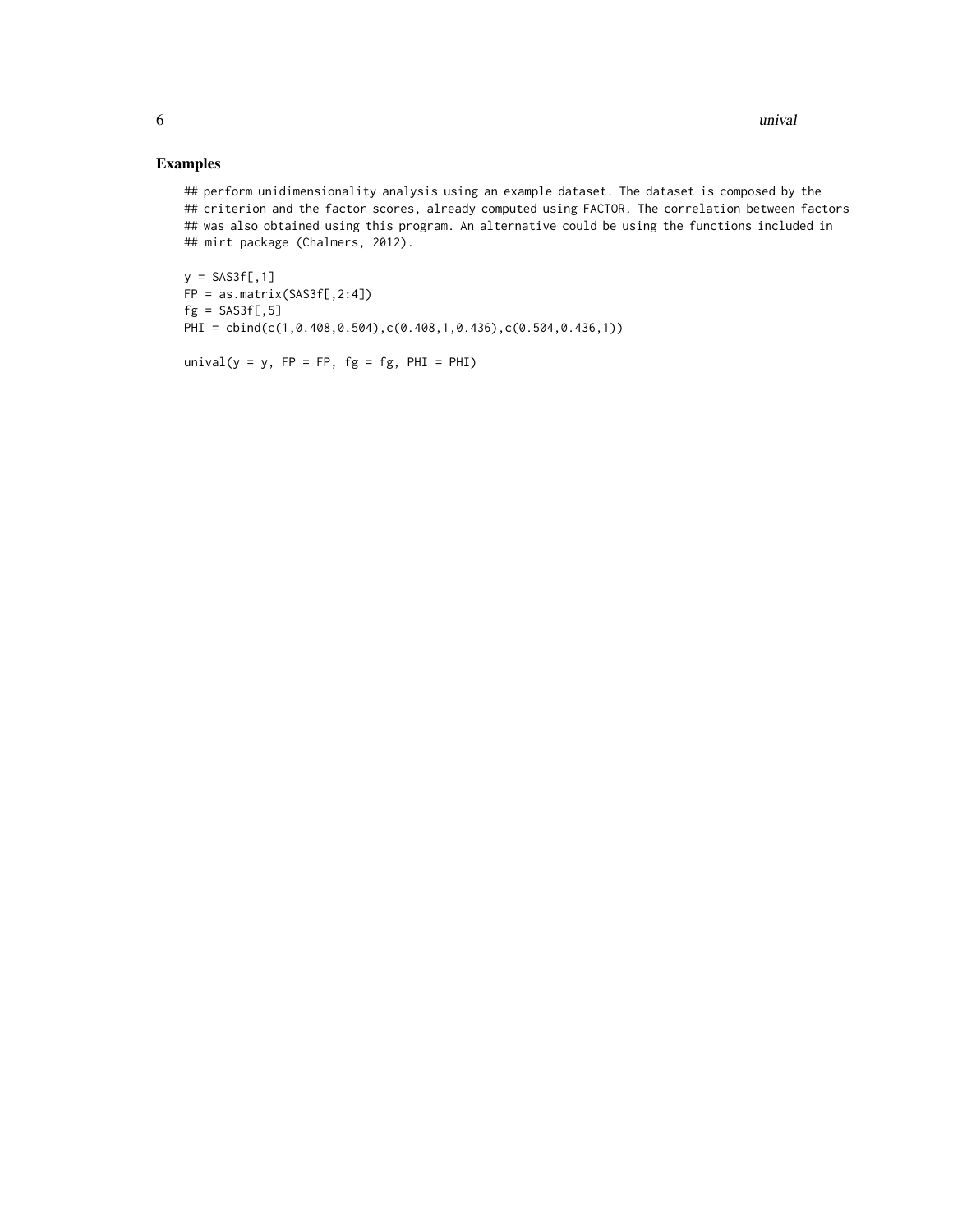# Examples

## perform unidimensionality analysis using an example dataset. The dataset is composed by the ## criterion and the factor scores, already computed using FACTOR. The correlation between factors ## was also obtained using this program. An alternative could be using the functions included in ## mirt package (Chalmers, 2012).

```
y = SAS3f[, 1]FP = as_matrix(SAS3f[,2:4])fg = SAS3f[, 5]PHI = cbind(c(1,0.408,0.504),c(0.408,1,0.436),c(0.504,0.436,1))
```

```
unival(y = y, FP = FP, fg = fg, PHI = PHI)
```